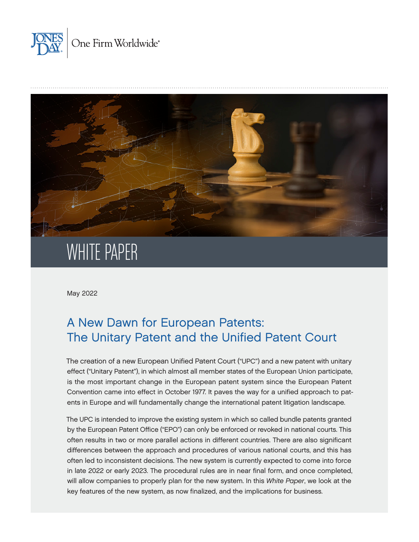



May 2022

# A New Dawn for European Patents: The Unitary Patent and the Unified Patent Court

The creation of a new European Unified Patent Court ("UPC") and a new patent with unitary effect ("Unitary Patent"), in which almost all member states of the European Union participate, is the most important change in the European patent system since the European Patent Convention came into effect in October 1977. It paves the way for a unified approach to patents in Europe and will fundamentally change the international patent litigation landscape.

The UPC is intended to improve the existing system in which so called bundle patents granted by the European Patent Office ("EPO") can only be enforced or revoked in national courts. This often results in two or more parallel actions in different countries. There are also significant differences between the approach and procedures of various national courts, and this has often led to inconsistent decisions. The new system is currently expected to come into force in late 2022 or early 2023. The procedural rules are in near final form, and once completed, will allow companies to properly plan for the new system. In this *White Paper*, we look at the key features of the new system, as now finalized, and the implications for business.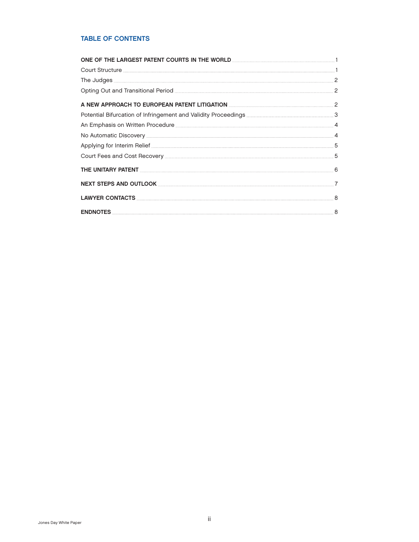# TABLE OF CONTENTS

| ONE OF THE LARGEST PATENT COURTS IN THE WORLD <b>CONSTRUCTED AND THE LARGEST PATENT</b> |  |
|-----------------------------------------------------------------------------------------|--|
|                                                                                         |  |
|                                                                                         |  |
|                                                                                         |  |
|                                                                                         |  |
|                                                                                         |  |
|                                                                                         |  |
|                                                                                         |  |
|                                                                                         |  |
|                                                                                         |  |
| THE UNITARY PATENT <b>EXECUTES</b> (6) THE UNITARY PATENT <b>EXECUTES</b> (6)           |  |
|                                                                                         |  |
|                                                                                         |  |
|                                                                                         |  |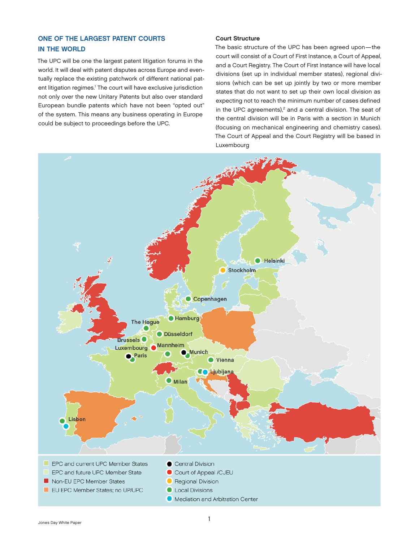# <span id="page-2-0"></span>ONE OF THE LARGEST PATENT COURTS IN THE WORLD

The UPC will be one the largest patent litigation forums in the world. It will deal with patent disputes across Europe and eventually replace the existing patchwork of different national pat-ent litigation regimes.<sup>[1](#page-9-0)</sup> The court will have exclusive jurisdiction not only over the new Unitary Patents but also over standard European bundle patents which have not been "opted out" of the system. This means any business operating in Europe could be subject to proceedings before the UPC.

## Court Structure

The basic structure of the UPC has been agreed upon—the court will consist of a Court of First Instance, a Court of Appeal, and a Court Registry. The Court of First Instance will have local divisions (set up in individual member states), regional divisions (which can be set up jointly by two or more member states that do not want to set up their own local division as expecting not to reach the minimum number of cases defined in the UPC agreements), $2$  and a central division. The seat of the central division will be in Paris with a section in Munich (focusing on mechanical engineering and chemistry cases). The Court of Appeal and the Court Registry will be based in Luxembourg

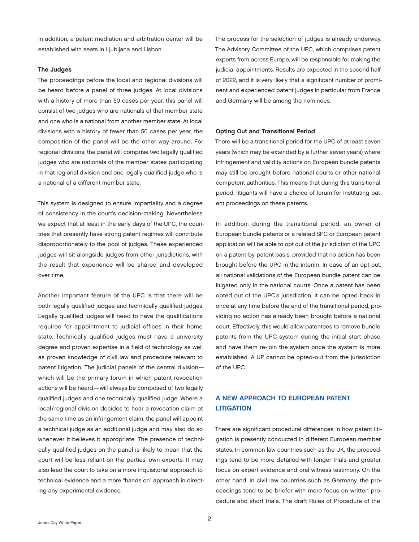<span id="page-3-0"></span>In addition, a patent mediation and arbitration center will be established with seats in Ljubljana and Lisbon.

#### The Judges

The proceedings before the local and regional divisions will be heard before a panel of three judges. At local divisions with a history of more than 50 cases per year, this panel will consist of two judges who are nationals of that member state and one who is a national from another member state. At local divisions with a history of fewer than 50 cases per year, the composition of the panel will be the other way around. For regional divisions, the panel will comprise two legally qualified judges who are nationals of the member states participating in that regional division and one legally qualified judge who is a national of a different member state.

This system is designed to ensure impartiality and a degree of consistency in the court's decision-making. Nevertheless, we expect that at least in the early days of the UPC, the countries that presently have strong patent regimes will contribute disproportionately to the pool of judges. These experienced judges will sit alongside judges from other jurisdictions, with the result that experience will be shared and developed over time.

Another important feature of the UPC is that there will be both legally qualified judges and technically qualified judges. Legally qualified judges will need to have the qualifications required for appointment to judicial offices in their home state. Technically qualified judges must have a university degree and proven expertise in a field of technology as well as proven knowledge of civil law and procedure relevant to patent litigation. The judicial panels of the central division which will be the primary forum in which patent revocation actions will be heard—will always be composed of two legally qualified judges and one technically qualified judge. Where a local/regional division decides to hear a revocation claim at the same time as an infringement claim, the panel will appoint a technical judge as an additional judge and may also do so whenever it believes it appropriate. The presence of technically qualified judges on the panel is likely to mean that the court will be less reliant on the parties' own experts. It may also lead the court to take on a more inquisitorial approach to technical evidence and a more "hands on" approach in directing any experimental evidence.

The process for the selection of judges is already underway. The Advisory Committee of the UPC, which comprises patent experts from across Europe, will be responsible for making the judicial appointments. Results are expected in the second half of 2022, and it is very likely that a significant number of prominent and experienced patent judges in particular from France and Germany will be among the nominees.

#### Opting Out and Transitional Period

There will be a transitional period for the UPC of at least seven years (which may be extended by a further seven years) where infringement and validity actions on European bundle patents may still be brought before national courts or other national competent authorities. This means that during this transitional period, litigants will have a choice of forum for instituting patent proceedings on these patents.

In addition, during the transitional period, an owner of European bundle patents or a related SPC or European patent application will be able to opt out of the jurisdiction of the UPC on a patent-by-patent basis, provided that no action has been brought before the UPC in the interim. In case of an opt out, all national validations of the European bundle patent can be litigated only in the national courts. Once a patent has been opted out of the UPC's jurisdiction, it can be opted back in once at any time before the end of the transitional period, providing no action has already been brought before a national court. Effectively, this would allow patentees to remove bundle patents from the UPC system during the initial start phase and have them re-join the system once the system is more established. A UP cannot be opted-out from the jurisdiction of the UPC.

# A NEW APPROACH TO EUROPEAN PATENT **LITIGATION**

There are significant procedural differences in how patent litigation is presently conducted in different European member states. In common law countries such as the UK, the proceedings tend to be more detailed with longer trials and greater focus on expert evidence and oral witness testimony. On the other hand, in civil law countries such as Germany, the proceedings tend to be briefer with more focus on written procedure and short trials. The draft Rules of Procedure of the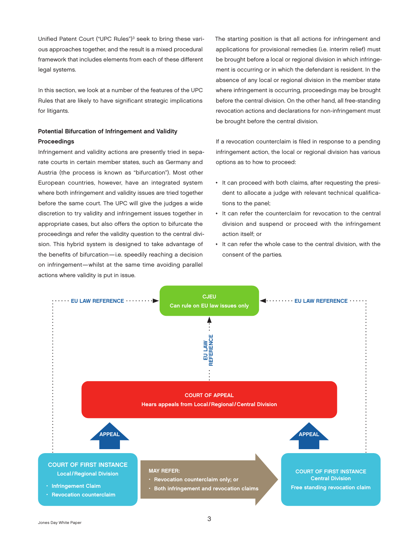<span id="page-4-0"></span>Unified Patent Court ("UPC Rules")<sup>[3](#page-9-0)</sup> seek to bring these various approaches together, and the result is a mixed procedural framework that includes elements from each of these different legal systems.

In this section, we look at a number of the features of the UPC Rules that are likely to have significant strategic implications for litigants.

# Potential Bifurcation of Infringement and Validity Proceedings

Infringement and validity actions are presently tried in separate courts in certain member states, such as Germany and Austria (the process is known as "bifurcation"). Most other European countries, however, have an integrated system where both infringement and validity issues are tried together before the same court. The UPC will give the judges a wide discretion to try validity and infringement issues together in appropriate cases, but also offers the option to bifurcate the proceedings and refer the validity question to the central division. This hybrid system is designed to take advantage of the benefits of bifurcation—i.e. speedily reaching a decision on infringement—whilst at the same time avoiding parallel actions where validity is put in issue.

The starting position is that all actions for infringement and applications for provisional remedies (i.e. interim relief) must be brought before a local or regional division in which infringement is occurring or in which the defendant is resident. In the absence of any local or regional division in the member state where infringement is occurring, proceedings may be brought before the central division. On the other hand, all free-standing revocation actions and declarations for non-infringement must be brought before the central division.

If a revocation counterclaim is filed in response to a pending infringement action, the local or regional division has various options as to how to proceed:

- It can proceed with both claims, after requesting the president to allocate a judge with relevant technical qualifications to the panel;
- It can refer the counterclaim for revocation to the central division and suspend or proceed with the infringement action itself; or
- It can refer the whole case to the central division, with the consent of the parties*.*

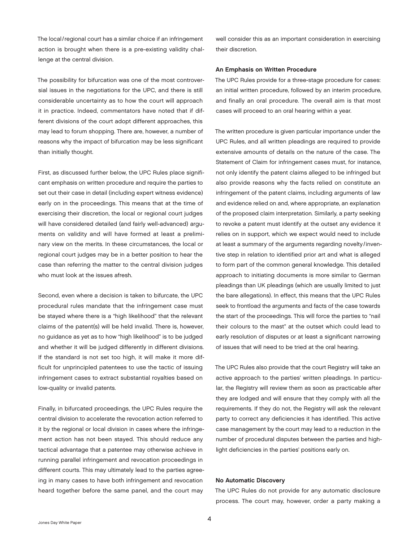<span id="page-5-0"></span>The local/regional court has a similar choice if an infringement action is brought when there is a pre-existing validity challenge at the central division.

The possibility for bifurcation was one of the most controversial issues in the negotiations for the UPC, and there is still considerable uncertainty as to how the court will approach it in practice. Indeed, commentators have noted that if different divisions of the court adopt different approaches, this may lead to forum shopping. There are, however, a number of reasons why the impact of bifurcation may be less significant than initially thought.

First, as discussed further below, the UPC Rules place significant emphasis on written procedure and require the parties to set out their case in detail (including expert witness evidence) early on in the proceedings. This means that at the time of exercising their discretion, the local or regional court judges will have considered detailed (and fairly well-advanced) arguments on validity and will have formed at least a preliminary view on the merits. In these circumstances, the local or regional court judges may be in a better position to hear the case than referring the matter to the central division judges who must look at the issues afresh.

Second, even where a decision is taken to bifurcate, the UPC procedural rules mandate that the infringement case must be stayed where there is a "high likelihood" that the relevant claims of the patent(s) will be held invalid. There is, however, no guidance as yet as to how "high likelihood" is to be judged and whether it will be judged differently in different divisions. If the standard is not set too high, it will make it more difficult for unprincipled patentees to use the tactic of issuing infringement cases to extract substantial royalties based on low-quality or invalid patents.

Finally, in bifurcated proceedings, the UPC Rules require the central division to accelerate the revocation action referred to it by the regional or local division in cases where the infringement action has not been stayed. This should reduce any tactical advantage that a patentee may otherwise achieve in running parallel infringement and revocation proceedings in different courts. This may ultimately lead to the parties agreeing in many cases to have both infringement and revocation heard together before the same panel, and the court may

well consider this as an important consideration in exercising their discretion.

#### An Emphasis on Written Procedure

The UPC Rules provide for a three-stage procedure for cases: an initial written procedure, followed by an interim procedure, and finally an oral procedure. The overall aim is that most cases will proceed to an oral hearing within a year.

The written procedure is given particular importance under the UPC Rules, and all written pleadings are required to provide extensive amounts of details on the nature of the case. The Statement of Claim for infringement cases must, for instance, not only identify the patent claims alleged to be infringed but also provide reasons why the facts relied on constitute an infringement of the patent claims, including arguments of law and evidence relied on and, where appropriate, an explanation of the proposed claim interpretation*.* Similarly, a party seeking to revoke a patent must identify at the outset any evidence it relies on in support, which we expect would need to include at least a summary of the arguments regarding novelty/inventive step in relation to identified prior art and what is alleged to form part of the common general knowledge. This detailed approach to initiating documents is more similar to German pleadings than UK pleadings (which are usually limited to just the bare allegations). In effect, this means that the UPC Rules seek to frontload the arguments and facts of the case towards the start of the proceedings. This will force the parties to "nail their colours to the mast" at the outset which could lead to early resolution of disputes or at least a significant narrowing of issues that will need to be tried at the oral hearing.

The UPC Rules also provide that the court Registry will take an active approach to the parties' written pleadings. In particular, the Registry will review them as soon as practicable after they are lodged and will ensure that they comply with all the requirements. If they do not, the Registry will ask the relevant party to correct any deficiencies it has identified. This active case management by the court may lead to a reduction in the number of procedural disputes between the parties and highlight deficiencies in the parties' positions early on.

#### No Automatic Discovery

The UPC Rules do not provide for any automatic disclosure process. The court may, however, order a party making a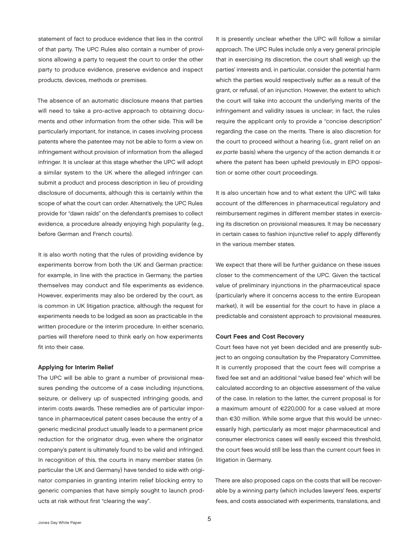<span id="page-6-0"></span>statement of fact to produce evidence that lies in the control of that party. The UPC Rules also contain a number of provisions allowing a party to request the court to order the other party to produce evidence, preserve evidence and inspect products, devices, methods or premises.

The absence of an automatic disclosure means that parties will need to take a pro-active approach to obtaining documents and other information from the other side. This will be particularly important, for instance, in cases involving process patents where the patentee may not be able to form a view on infringement without provision of information from the alleged infringer. It is unclear at this stage whether the UPC will adopt a similar system to the UK where the alleged infringer can submit a product and process description in lieu of providing disclosure of documents, although this is certainly within the scope of what the court can order. Alternatively, the UPC Rules provide for "dawn raids" on the defendant's premises to collect evidence, a procedure already enjoying high popularity (e.g., before German and French courts).

It is also worth noting that the rules of providing evidence by experiments borrow from both the UK and German practice: for example, in line with the practice in Germany, the parties themselves may conduct and file experiments as evidence. However, experiments may also be ordered by the court, as is common in UK litigation practice, although the request for experiments needs to be lodged as soon as practicable in the written procedure or the interim procedure. In either scenario, parties will therefore need to think early on how experiments fit into their case.

#### Applying for Interim Relief

The UPC will be able to grant a number of provisional measures pending the outcome of a case including injunctions, seizure, or delivery up of suspected infringing goods, and interim costs awards. These remedies are of particular importance in pharmaceutical patent cases because the entry of a generic medicinal product usually leads to a permanent price reduction for the originator drug, even where the originator company's patent is ultimately found to be valid and infringed. In recognition of this, the courts in many member states (in particular the UK and Germany) have tended to side with originator companies in granting interim relief blocking entry to generic companies that have simply sought to launch products at risk without first "clearing the way".

It is presently unclear whether the UPC will follow a similar approach. The UPC Rules include only a very general principle that in exercising its discretion, the court shall weigh up the parties' interests and, in particular, consider the potential harm which the parties would respectively suffer as a result of the grant, or refusal, of an injunction. However, the extent to which the court will take into account the underlying merits of the infringement and validity issues is unclear; in fact, the rules require the applicant only to provide a "concise description" regarding the case on the merits. There is also discretion for the court to proceed without a hearing (i.e., grant relief on an *ex parte* basis) where the urgency of the action demands it or where the patent has been upheld previously in EPO opposition or some other court proceedings.

It is also uncertain how and to what extent the UPC will take account of the differences in pharmaceutical regulatory and reimbursement regimes in different member states in exercising its discretion on provisional measures. It may be necessary in certain cases to fashion injunctive relief to apply differently in the various member states.

We expect that there will be further guidance on these issues closer to the commencement of the UPC. Given the tactical value of preliminary injunctions in the pharmaceutical space (particularly where it concerns access to the entire European market), it will be essential for the court to have in place a predictable and consistent approach to provisional measures.

#### Court Fees and Cost Recovery

Court fees have not yet been decided and are presently subject to an ongoing consultation by the Preparatory Committee. It is currently proposed that the court fees will comprise a fixed fee set and an additional "value based fee" which will be calculated according to an objective assessment of the value of the case. In relation to the latter, the current proposal is for a maximum amount of €220,000 for a case valued at more than €30 million. While some argue that this would be unnecessarily high, particularly as most major pharmaceutical and consumer electronics cases will easily exceed this threshold, the court fees would still be less than the current court fees in litigation in Germany.

There are also proposed caps on the costs that will be recoverable by a winning party (which includes lawyers' fees, experts' fees, and costs associated with experiments, translations, and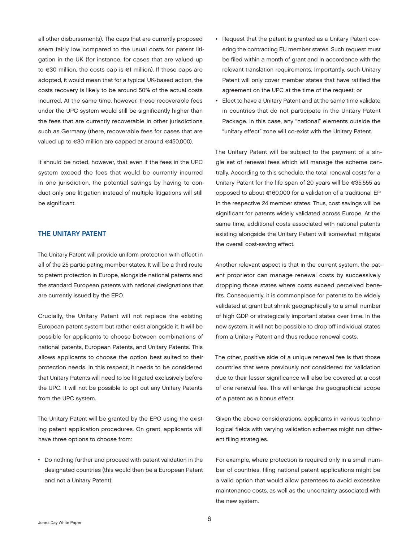<span id="page-7-0"></span>all other disbursements). The caps that are currently proposed seem fairly low compared to the usual costs for patent litigation in the UK (for instance, for cases that are valued up to €30 million, the costs cap is €1 million). If these caps are adopted, it would mean that for a typical UK-based action, the costs recovery is likely to be around 50% of the actual costs incurred. At the same time, however, these recoverable fees under the UPC system would still be significantly higher than the fees that are currently recoverable in other jurisdictions, such as Germany (there, recoverable fees for cases that are valued up to €30 million are capped at around €450,000).

It should be noted, however, that even if the fees in the UPC system exceed the fees that would be currently incurred in one jurisdiction, the potential savings by having to conduct only one litigation instead of multiple litigations will still be significant.

## THE UNITARY PATENT

The Unitary Patent will provide uniform protection with effect in all of the 25 participating member states. It will be a third route to patent protection in Europe, alongside national patents and the standard European patents with national designations that are currently issued by the EPO.

Crucially, the Unitary Patent will not replace the existing European patent system but rather exist alongside it. It will be possible for applicants to choose between combinations of national patents, European Patents, and Unitary Patents. This allows applicants to choose the option best suited to their protection needs. In this respect, it needs to be considered that Unitary Patents will need to be litigated exclusively before the UPC. It will not be possible to opt out any Unitary Patents from the UPC system.

The Unitary Patent will be granted by the EPO using the existing patent application procedures. On grant, applicants will have three options to choose from:

• Do nothing further and proceed with patent validation in the designated countries (this would then be a European Patent and not a Unitary Patent);

- Request that the patent is granted as a Unitary Patent covering the contracting EU member states. Such request must be filed within a month of grant and in accordance with the relevant translation requirements. Importantly, such Unitary Patent will only cover member states that have ratified the agreement on the UPC at the time of the request; or
- Elect to have a Unitary Patent and at the same time validate in countries that do not participate in the Unitary Patent Package. In this case, any "national" elements outside the "unitary effect" zone will co-exist with the Unitary Patent.

The Unitary Patent will be subject to the payment of a single set of renewal fees which will manage the scheme centrally. According to this schedule, the total renewal costs for a Unitary Patent for the life span of 20 years will be €35,555 as opposed to about €160,000 for a validation of a traditional EP in the respective 24 member states. Thus, cost savings will be significant for patents widely validated across Europe. At the same time, additional costs associated with national patents existing alongside the Unitary Patent will somewhat mitigate the overall cost-saving effect.

Another relevant aspect is that in the current system, the patent proprietor can manage renewal costs by successively dropping those states where costs exceed perceived benefits. Consequently, it is commonplace for patents to be widely validated at grant but shrink geographically to a small number of high GDP or strategically important states over time. In the new system, it will not be possible to drop off individual states from a Unitary Patent and thus reduce renewal costs.

The other, positive side of a unique renewal fee is that those countries that were previously not considered for validation due to their lesser significance will also be covered at a cost of one renewal fee. This will enlarge the geographical scope of a patent as a bonus effect.

Given the above considerations, applicants in various technological fields with varying validation schemes might run different filing strategies.

For example, where protection is required only in a small number of countries, filing national patent applications might be a valid option that would allow patentees to avoid excessive maintenance costs, as well as the uncertainty associated with the new system.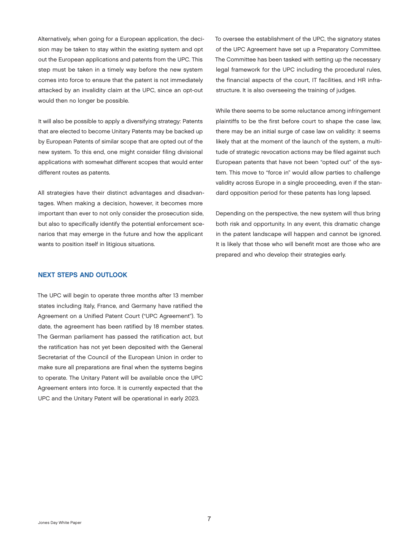<span id="page-8-0"></span>Alternatively, when going for a European application, the decision may be taken to stay within the existing system and opt out the European applications and patents from the UPC. This step must be taken in a timely way before the new system comes into force to ensure that the patent is not immediately attacked by an invalidity claim at the UPC, since an opt-out would then no longer be possible.

It will also be possible to apply a diversifying strategy: Patents that are elected to become Unitary Patents may be backed up by European Patents of similar scope that are opted out of the new system. To this end, one might consider filing divisional applications with somewhat different scopes that would enter different routes as patents.

All strategies have their distinct advantages and disadvantages. When making a decision, however, it becomes more important than ever to not only consider the prosecution side, but also to specifically identify the potential enforcement scenarios that may emerge in the future and how the applicant wants to position itself in litigious situations.

### NEXT STEPS AND OUTLOOK

The UPC will begin to operate three months after 13 member states including Italy, France, and Germany have ratified the Agreement on a Unified Patent Court ("UPC Agreement"). To date, the agreement has been ratified by 18 member states. The German parliament has passed the ratification act, but the ratification has not yet been deposited with the General Secretariat of the Council of the European Union in order to make sure all preparations are final when the systems begins to operate. The Unitary Patent will be available once the UPC Agreement enters into force. It is currently expected that the UPC and the Unitary Patent will be operational in early 2023.

To oversee the establishment of the UPC, the signatory states of the UPC Agreement have set up a Preparatory Committee. The Committee has been tasked with setting up the necessary legal framework for the UPC including the procedural rules, the financial aspects of the court, IT facilities, and HR infrastructure. It is also overseeing the training of judges.

While there seems to be some reluctance among infringement plaintiffs to be the first before court to shape the case law, there may be an initial surge of case law on validity: it seems likely that at the moment of the launch of the system, a multitude of strategic revocation actions may be filed against such European patents that have not been "opted out" of the system. This move to "force in" would allow parties to challenge validity across Europe in a single proceeding, even if the standard opposition period for these patents has long lapsed.

Depending on the perspective, the new system will thus bring both risk and opportunity. In any event, this dramatic change in the patent landscape will happen and cannot be ignored. It is likely that those who will benefit most are those who are prepared and who develop their strategies early.